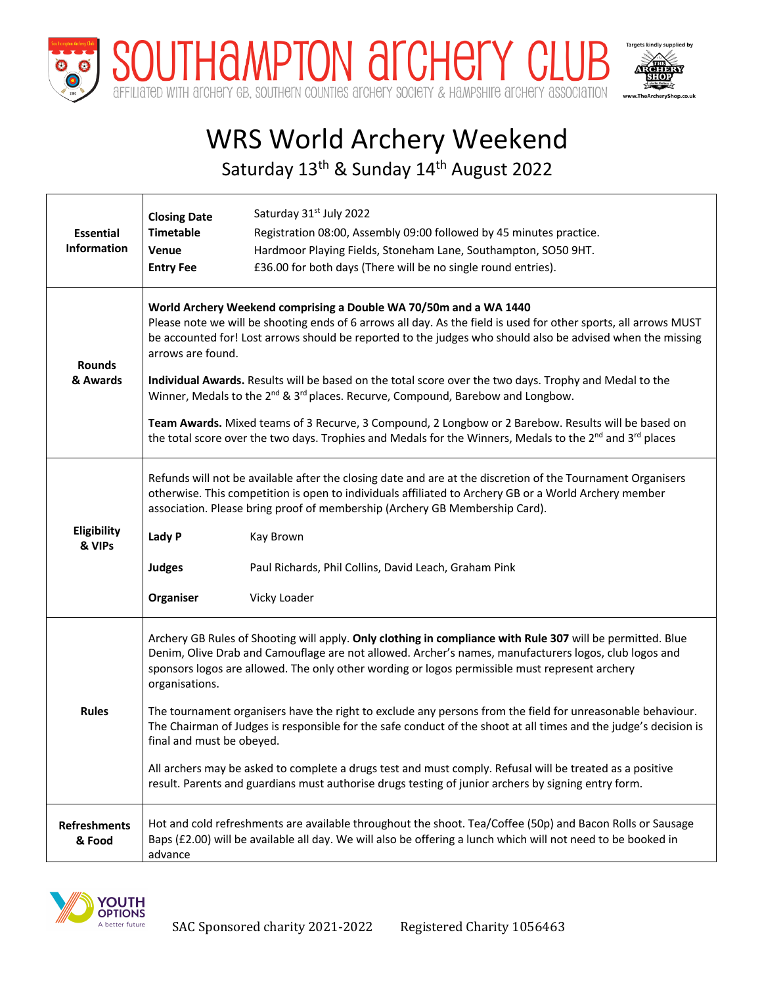

# WRS World Archery Weekend

Saturday 13<sup>th</sup> & Sunday 14<sup>th</sup> August 2022

| <b>Essential</b><br><b>Information</b> | <b>Closing Date</b>                                                                                                                                                                                                                                                                                                                                                                                                                                                                                                                                                                                                                                                                                                                                                                      | Saturday 31st July 2022                                             |  |  |  |  |
|----------------------------------------|------------------------------------------------------------------------------------------------------------------------------------------------------------------------------------------------------------------------------------------------------------------------------------------------------------------------------------------------------------------------------------------------------------------------------------------------------------------------------------------------------------------------------------------------------------------------------------------------------------------------------------------------------------------------------------------------------------------------------------------------------------------------------------------|---------------------------------------------------------------------|--|--|--|--|
|                                        | <b>Timetable</b>                                                                                                                                                                                                                                                                                                                                                                                                                                                                                                                                                                                                                                                                                                                                                                         | Registration 08:00, Assembly 09:00 followed by 45 minutes practice. |  |  |  |  |
|                                        | Venue                                                                                                                                                                                                                                                                                                                                                                                                                                                                                                                                                                                                                                                                                                                                                                                    | Hardmoor Playing Fields, Stoneham Lane, Southampton, SO50 9HT.      |  |  |  |  |
|                                        | <b>Entry Fee</b>                                                                                                                                                                                                                                                                                                                                                                                                                                                                                                                                                                                                                                                                                                                                                                         | £36.00 for both days (There will be no single round entries).       |  |  |  |  |
| <b>Rounds</b><br>& Awards              | World Archery Weekend comprising a Double WA 70/50m and a WA 1440<br>Please note we will be shooting ends of 6 arrows all day. As the field is used for other sports, all arrows MUST<br>be accounted for! Lost arrows should be reported to the judges who should also be advised when the missing<br>arrows are found.<br>Individual Awards. Results will be based on the total score over the two days. Trophy and Medal to the<br>Winner, Medals to the 2 <sup>nd</sup> & 3 <sup>rd</sup> places. Recurve, Compound, Barebow and Longbow.<br>Team Awards. Mixed teams of 3 Recurve, 3 Compound, 2 Longbow or 2 Barebow. Results will be based on<br>the total score over the two days. Trophies and Medals for the Winners, Medals to the 2 <sup>nd</sup> and 3 <sup>rd</sup> places |                                                                     |  |  |  |  |
| Eligibility<br>& VIPs                  | Refunds will not be available after the closing date and are at the discretion of the Tournament Organisers<br>otherwise. This competition is open to individuals affiliated to Archery GB or a World Archery member<br>association. Please bring proof of membership (Archery GB Membership Card).<br>Lady P<br>Kay Brown<br><b>Judges</b><br>Paul Richards, Phil Collins, David Leach, Graham Pink<br>Organiser<br>Vicky Loader                                                                                                                                                                                                                                                                                                                                                        |                                                                     |  |  |  |  |
| <b>Rules</b>                           | Archery GB Rules of Shooting will apply. Only clothing in compliance with Rule 307 will be permitted. Blue<br>Denim, Olive Drab and Camouflage are not allowed. Archer's names, manufacturers logos, club logos and<br>sponsors logos are allowed. The only other wording or logos permissible must represent archery<br>organisations.<br>The tournament organisers have the right to exclude any persons from the field for unreasonable behaviour.<br>The Chairman of Judges is responsible for the safe conduct of the shoot at all times and the judge's decision is<br>final and must be obeyed.<br>All archers may be asked to complete a drugs test and must comply. Refusal will be treated as a positive                                                                       |                                                                     |  |  |  |  |
|                                        | result. Parents and guardians must authorise drugs testing of junior archers by signing entry form.                                                                                                                                                                                                                                                                                                                                                                                                                                                                                                                                                                                                                                                                                      |                                                                     |  |  |  |  |
| <b>Refreshments</b><br>& Food          | Hot and cold refreshments are available throughout the shoot. Tea/Coffee (50p) and Bacon Rolls or Sausage<br>Baps (£2.00) will be available all day. We will also be offering a lunch which will not need to be booked in<br>advance                                                                                                                                                                                                                                                                                                                                                                                                                                                                                                                                                     |                                                                     |  |  |  |  |



 $\mathsf{l}$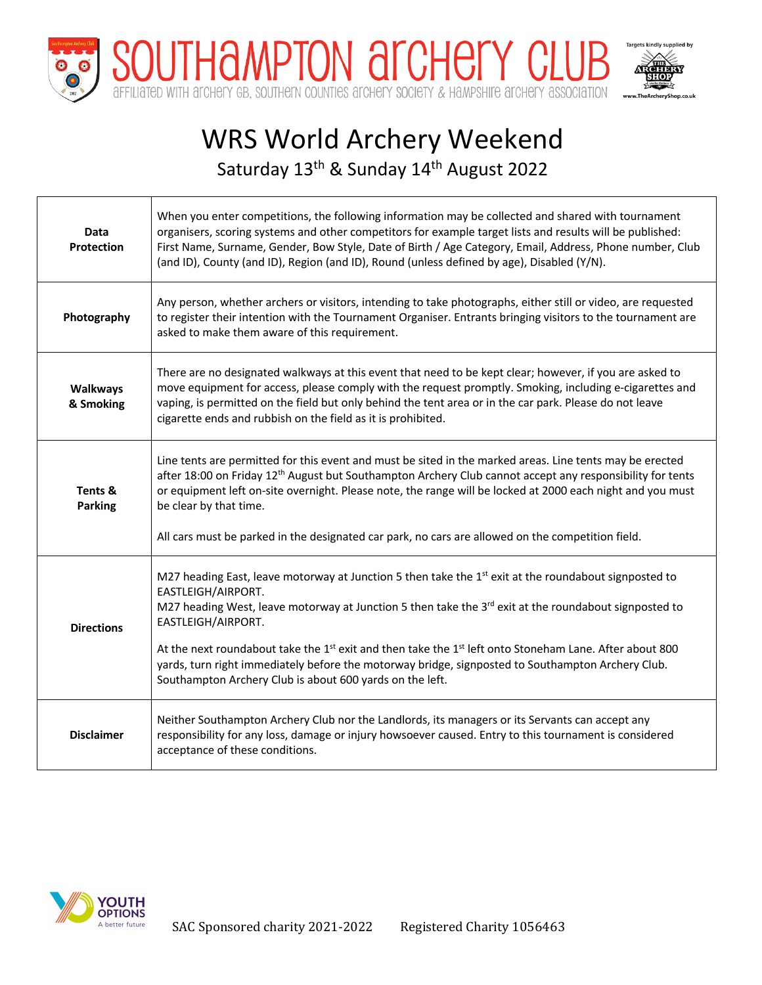

## WRS World Archery Weekend Saturday 13<sup>th</sup> & Sunday 14<sup>th</sup> August 2022

| Data<br>Protection           | When you enter competitions, the following information may be collected and shared with tournament<br>organisers, scoring systems and other competitors for example target lists and results will be published:<br>First Name, Surname, Gender, Bow Style, Date of Birth / Age Category, Email, Address, Phone number, Club<br>(and ID), County (and ID), Region (and ID), Round (unless defined by age), Disabled (Y/N).                                                                                                                                                  |
|------------------------------|----------------------------------------------------------------------------------------------------------------------------------------------------------------------------------------------------------------------------------------------------------------------------------------------------------------------------------------------------------------------------------------------------------------------------------------------------------------------------------------------------------------------------------------------------------------------------|
| Photography                  | Any person, whether archers or visitors, intending to take photographs, either still or video, are requested<br>to register their intention with the Tournament Organiser. Entrants bringing visitors to the tournament are<br>asked to make them aware of this requirement.                                                                                                                                                                                                                                                                                               |
| <b>Walkways</b><br>& Smoking | There are no designated walkways at this event that need to be kept clear; however, if you are asked to<br>move equipment for access, please comply with the request promptly. Smoking, including e-cigarettes and<br>vaping, is permitted on the field but only behind the tent area or in the car park. Please do not leave<br>cigarette ends and rubbish on the field as it is prohibited.                                                                                                                                                                              |
| Tents &<br><b>Parking</b>    | Line tents are permitted for this event and must be sited in the marked areas. Line tents may be erected<br>after 18:00 on Friday 12 <sup>th</sup> August but Southampton Archery Club cannot accept any responsibility for tents<br>or equipment left on-site overnight. Please note, the range will be locked at 2000 each night and you must<br>be clear by that time.<br>All cars must be parked in the designated car park, no cars are allowed on the competition field.                                                                                             |
| <b>Directions</b>            | M27 heading East, leave motorway at Junction 5 then take the 1 <sup>st</sup> exit at the roundabout signposted to<br>EASTLEIGH/AIRPORT.<br>M27 heading West, leave motorway at Junction 5 then take the 3rd exit at the roundabout signposted to<br>EASTLEIGH/AIRPORT.<br>At the next roundabout take the 1 <sup>st</sup> exit and then take the 1 <sup>st</sup> left onto Stoneham Lane. After about 800<br>yards, turn right immediately before the motorway bridge, signposted to Southampton Archery Club.<br>Southampton Archery Club is about 600 yards on the left. |
| <b>Disclaimer</b>            | Neither Southampton Archery Club nor the Landlords, its managers or its Servants can accept any<br>responsibility for any loss, damage or injury howsoever caused. Entry to this tournament is considered<br>acceptance of these conditions.                                                                                                                                                                                                                                                                                                                               |

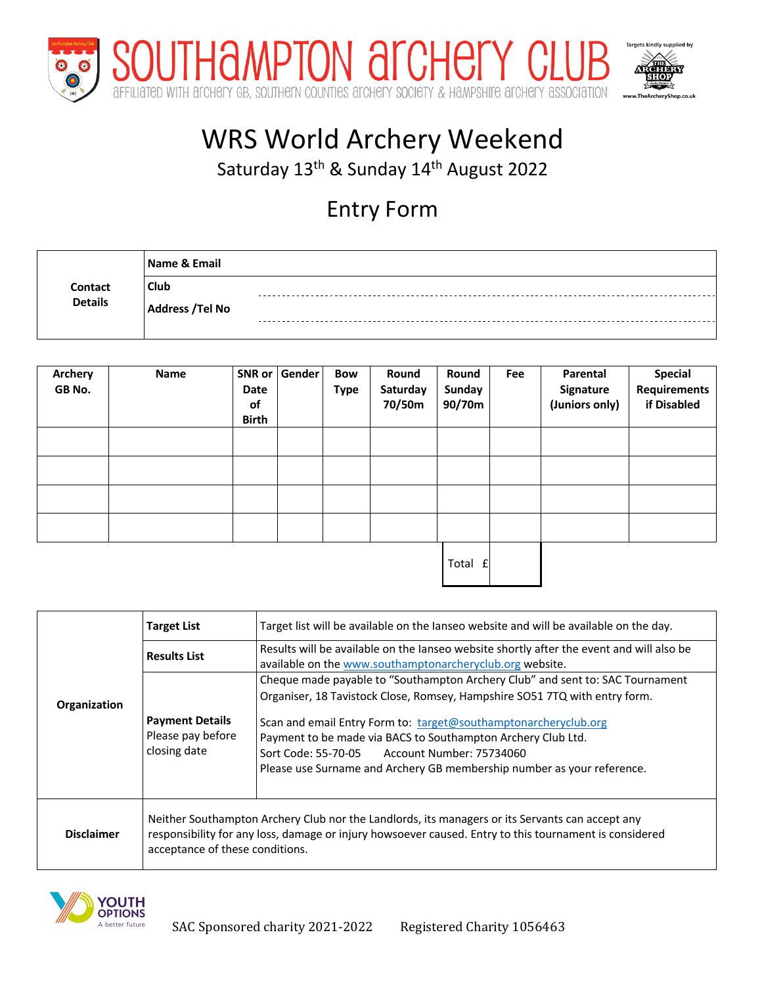

## WRS World Archery Weekend

Saturday 13<sup>th</sup> & Sunday 14<sup>th</sup> August 2022

### Entry Form

| Contact<br><b>Details</b> | Name & Email           |  |
|---------------------------|------------------------|--|
|                           | <b>Club</b>            |  |
|                           | <b>Address /Tel No</b> |  |
|                           |                        |  |

| <b>Archery</b><br>GB No. | Name | Date<br>of<br><b>Birth</b> | SNR or Gender | Bow<br><b>Type</b> | Round<br>Saturday<br>70/50m | Round<br>Sunday<br>90/70m | Fee | Parental<br>Signature<br>(Juniors only) | <b>Special</b><br><b>Requirements</b><br>if Disabled |
|--------------------------|------|----------------------------|---------------|--------------------|-----------------------------|---------------------------|-----|-----------------------------------------|------------------------------------------------------|
|                          |      |                            |               |                    |                             |                           |     |                                         |                                                      |
|                          |      |                            |               |                    |                             |                           |     |                                         |                                                      |
|                          |      |                            |               |                    |                             |                           |     |                                         |                                                      |
|                          |      |                            |               |                    |                             |                           |     |                                         |                                                      |
|                          |      |                            |               |                    |                             |                           |     |                                         |                                                      |

Total £

|                   | <b>Target List</b>                                                                                                                                                                                                                           | Target list will be available on the lanseo website and will be available on the day.                                                                                                                                                                                                                                                                                                                                       |  |  |  |  |
|-------------------|----------------------------------------------------------------------------------------------------------------------------------------------------------------------------------------------------------------------------------------------|-----------------------------------------------------------------------------------------------------------------------------------------------------------------------------------------------------------------------------------------------------------------------------------------------------------------------------------------------------------------------------------------------------------------------------|--|--|--|--|
|                   | <b>Results List</b>                                                                                                                                                                                                                          | Results will be available on the lanseo website shortly after the event and will also be<br>available on the www.southamptonarcheryclub.org website.                                                                                                                                                                                                                                                                        |  |  |  |  |
| Organization      | Payment Details<br>Please pay before<br>closing date                                                                                                                                                                                         | Cheque made payable to "Southampton Archery Club" and sent to: SAC Tournament<br>Organiser, 18 Tavistock Close, Romsey, Hampshire SO51 7TQ with entry form.<br>Scan and email Entry Form to: target@southamptonarcheryclub.org<br>Payment to be made via BACS to Southampton Archery Club Ltd.<br>Account Number: 75734060<br>Sort Code: 55-70-05<br>Please use Surname and Archery GB membership number as your reference. |  |  |  |  |
| <b>Disclaimer</b> | Neither Southampton Archery Club nor the Landlords, its managers or its Servants can accept any<br>responsibility for any loss, damage or injury howsoever caused. Entry to this tournament is considered<br>acceptance of these conditions. |                                                                                                                                                                                                                                                                                                                                                                                                                             |  |  |  |  |